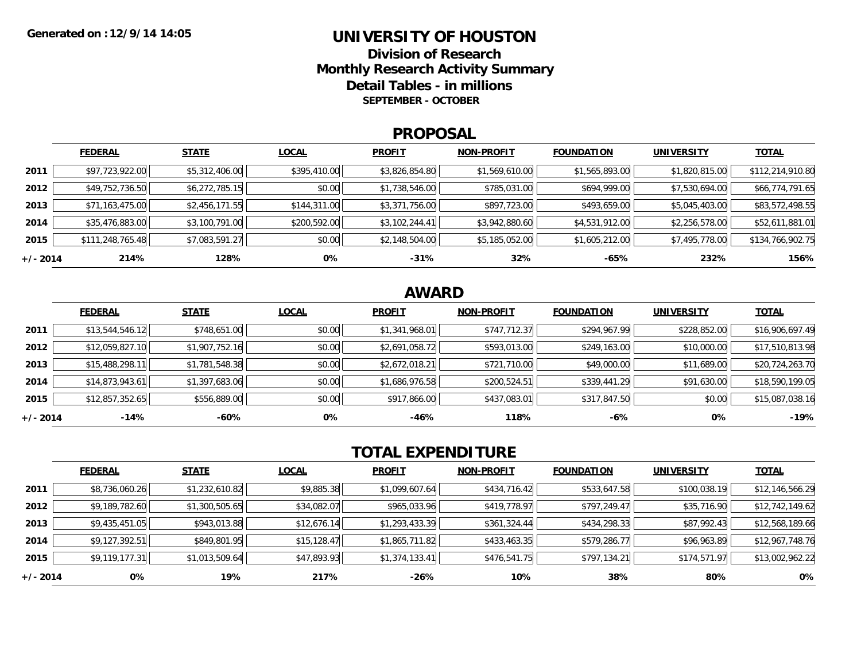### **UNIVERSITY OF HOUSTON**

**Division of ResearchMonthly Research Activity Summary Detail Tables - in millions SEPTEMBER - OCTOBER**

#### **PROPOSAL**

|            | <b>FEDERAL</b>   | <b>STATE</b>   | <b>LOCAL</b> | <b>PROFIT</b>  | <b>NON-PROFIT</b> | <b>FOUNDATION</b> | <b>UNIVERSITY</b> | <b>TOTAL</b>     |
|------------|------------------|----------------|--------------|----------------|-------------------|-------------------|-------------------|------------------|
| 2011       | \$97,723,922.00  | \$5,312,406.00 | \$395,410.00 | \$3,826,854.80 | \$1,569,610.00    | \$1,565,893.00    | \$1,820,815.00    | \$112,214,910.80 |
| 2012       | \$49,752,736.50  | \$6,272,785.15 | \$0.00       | \$1,738,546.00 | \$785,031.00      | \$694,999.00      | \$7,530,694.00    | \$66,774,791.65  |
| 2013       | \$71,163,475.00  | \$2,456,171.55 | \$144,311.00 | \$3,371,756.00 | \$897,723.00      | \$493,659.00      | \$5,045,403.00    | \$83,572,498.55  |
| 2014       | \$35,476,883.00  | \$3,100,791.00 | \$200,592.00 | \$3,102,244.41 | \$3,942,880.60    | \$4,531,912.00    | \$2,256,578.00    | \$52,611,881.01  |
| 2015       | \$111,248,765.48 | \$7,083,591.27 | \$0.00       | \$2,148,504.00 | \$5,185,052.00    | \$1,605,212.00    | \$7,495,778.00    | \$134,766,902.75 |
| $+/- 2014$ | 214%             | 128%           | 0%           | $-31%$         | 32%               | -65%              | 232%              | 156%             |

## **AWARD**

|            | <b>FEDERAL</b>  | <b>STATE</b>   | <b>LOCAL</b> | <b>PROFIT</b>  | <b>NON-PROFIT</b> | <b>FOUNDATION</b> | <b>UNIVERSITY</b> | <b>TOTAL</b>    |
|------------|-----------------|----------------|--------------|----------------|-------------------|-------------------|-------------------|-----------------|
| 2011       | \$13,544,546.12 | \$748,651.00   | \$0.00       | \$1,341,968.01 | \$747,712.37      | \$294,967.99      | \$228,852.00      | \$16,906,697.49 |
| 2012       | \$12,059,827.10 | \$1,907,752.16 | \$0.00       | \$2,691,058.72 | \$593,013.00      | \$249,163.00      | \$10,000.00       | \$17,510,813.98 |
| 2013       | \$15,488,298.11 | \$1,781,548.38 | \$0.00       | \$2,672,018.21 | \$721,710.00      | \$49,000.00       | \$11,689.00       | \$20,724,263.70 |
| 2014       | \$14,873,943.61 | \$1,397,683.06 | \$0.00       | \$1,686,976.58 | \$200,524.51      | \$339,441.29      | \$91,630.00       | \$18,590,199.05 |
| 2015       | \$12,857,352.65 | \$556,889.00   | \$0.00       | \$917,866.00   | \$437,083.01      | \$317,847.50      | \$0.00            | \$15,087,038.16 |
| $+/- 2014$ | $-14%$          | -60%           | 0%           | $-46%$         | 118%              | $-6%$             | 0%                | $-19%$          |

# **TOTAL EXPENDITURE**

|          | <b>FEDERAL</b> | <b>STATE</b>   | <b>LOCAL</b> | <b>PROFIT</b>  | <b>NON-PROFIT</b> | <b>FOUNDATION</b> | <b>UNIVERSITY</b> | <b>TOTAL</b>    |
|----------|----------------|----------------|--------------|----------------|-------------------|-------------------|-------------------|-----------------|
| 2011     | \$8,736,060.26 | \$1,232,610.82 | \$9,885.38   | \$1,099,607.64 | \$434,716.42      | \$533,647.58      | \$100,038.19      | \$12,146,566.29 |
| 2012     | \$9,189,782.60 | \$1,300,505.65 | \$34,082.07  | \$965,033.96   | \$419,778.97      | \$797,249.47      | \$35,716.90       | \$12,742,149.62 |
| 2013     | \$9,435,451.05 | \$943,013.88   | \$12,676.14  | \$1,293,433.39 | \$361,324.44      | \$434,298.33      | \$87,992.43       | \$12,568,189.66 |
| 2014     | \$9,127,392.51 | \$849,801.95   | \$15, 128.47 | \$1,865,711.82 | \$433,463.35      | \$579,286.77      | \$96,963.89       | \$12,967,748.76 |
| 2015     | \$9,119,177.31 | \$1,013,509.64 | \$47,893.93  | \$1,374,133.41 | \$476,541.75      | \$797,134.21      | \$174,571.97      | \$13,002,962.22 |
| +/- 2014 | 0%             | 19%            | 217%         | -26%           | 10%               | 38%               | 80%               | 0%              |